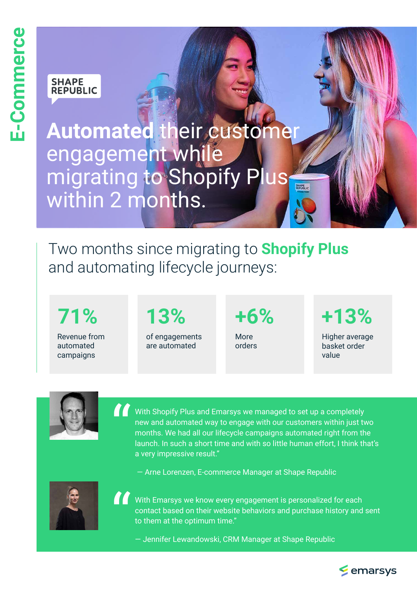# **SHAPE<br>REPUBLIC**

**Automated** their customer engagement while migrating to Shopify Plus SHAPE within 2 months.

Two months since migrating to **Shopify Plus** and automating lifecycle journeys:

Revenue from automated campaigns

of engagements are automated

More orders

**71% 13% +6% +13%**

Higher average basket order value



With Shopify Plus and Emarsys we managed to set up a completely new and automated way to engage with our customers within just two months. We had all our lifecycle campaigns automated right from the launch. In such a short time and with so little human effort, I think that's a very impressive result." "

— Arne Lorenzen, E-commerce Manager at Shape Republic



With Emarsys we know every engagement is personalized for each contact based on their website behaviors and purchase history and sent to them at the optimum time." "

— Jennifer Lewandowski, CRM Manager at Shape Republic